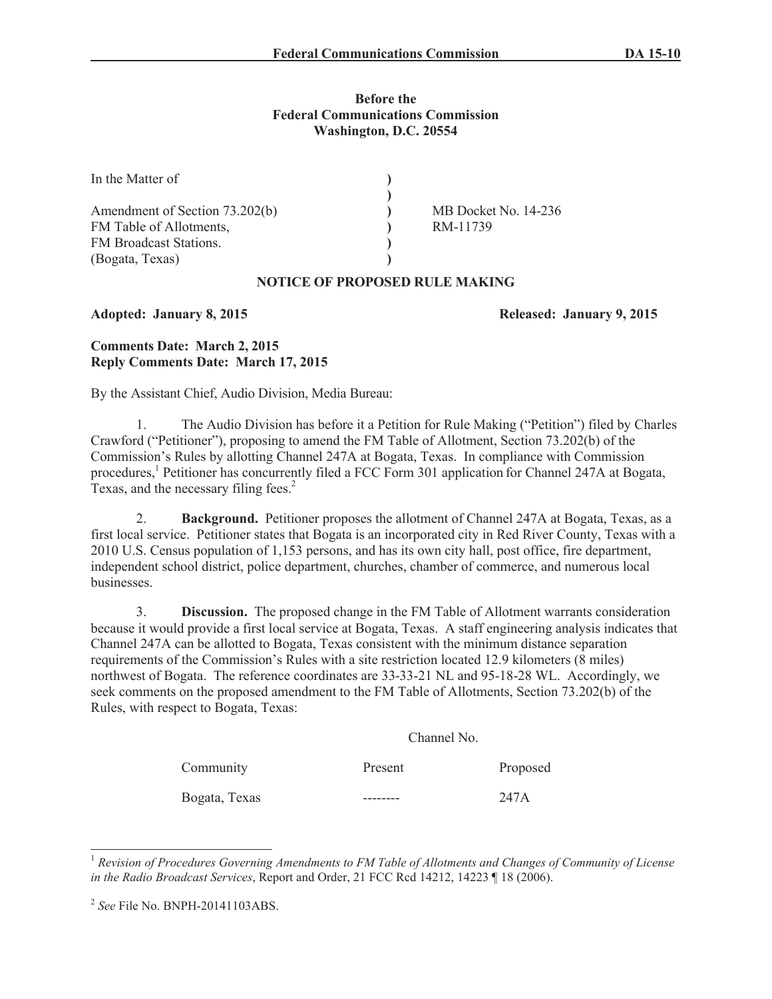## **Before the Federal Communications Commission Washington, D.C. 20554**

| In the Matter of                                                                                       |                                  |
|--------------------------------------------------------------------------------------------------------|----------------------------------|
| Amendment of Section 73.202(b)<br>FM Table of Allotments,<br>FM Broadcast Stations.<br>(Bogata, Texas) | MB Docket No. 14-236<br>RM-11739 |

# **NOTICE OF PROPOSED RULE MAKING**

## **Adopted: January 8, 2015 Released: January 9, 2015**

# **Comments Date: March 2, 2015 Reply Comments Date: March 17, 2015**

By the Assistant Chief, Audio Division, Media Bureau:

1. The Audio Division has before it a Petition for Rule Making ("Petition") filed by Charles Crawford ("Petitioner"), proposing to amend the FM Table of Allotment, Section 73.202(b) of the Commission's Rules by allotting Channel 247A at Bogata, Texas. In compliance with Commission procedures,<sup>1</sup> Petitioner has concurrently filed a FCC Form 301 application for Channel 247A at Bogata, Texas, and the necessary filing fees.<sup>2</sup>

2. **Background.** Petitioner proposes the allotment of Channel 247A at Bogata, Texas, as a first local service. Petitioner states that Bogata is an incorporated city in Red River County, Texas with a 2010 U.S. Census population of 1,153 persons, and has its own city hall, post office, fire department, independent school district, police department, churches, chamber of commerce, and numerous local businesses.

3. **Discussion.** The proposed change in the FM Table of Allotment warrants consideration because it would provide a first local service at Bogata, Texas. A staff engineering analysis indicates that Channel 247A can be allotted to Bogata, Texas consistent with the minimum distance separation requirements of the Commission's Rules with a site restriction located 12.9 kilometers (8 miles) northwest of Bogata. The reference coordinates are 33-33-21 NL and 95-18-28 WL. Accordingly, we seek comments on the proposed amendment to the FM Table of Allotments, Section 73.202(b) of the Rules, with respect to Bogata, Texas:

Channel No.

| Community     | CHAHILLE IND. |          |  |
|---------------|---------------|----------|--|
|               | Present       | Proposed |  |
| Bogata, Texas |               | 247A     |  |

<sup>1</sup> *Revision of Procedures Governing Amendments to FM Table of Allotments and Changes of Community of License in the Radio Broadcast Services*, Report and Order, 21 FCC Rcd 14212, 14223 ¶ 18 (2006).

<sup>2</sup> *See* File No. BNPH-20141103ABS.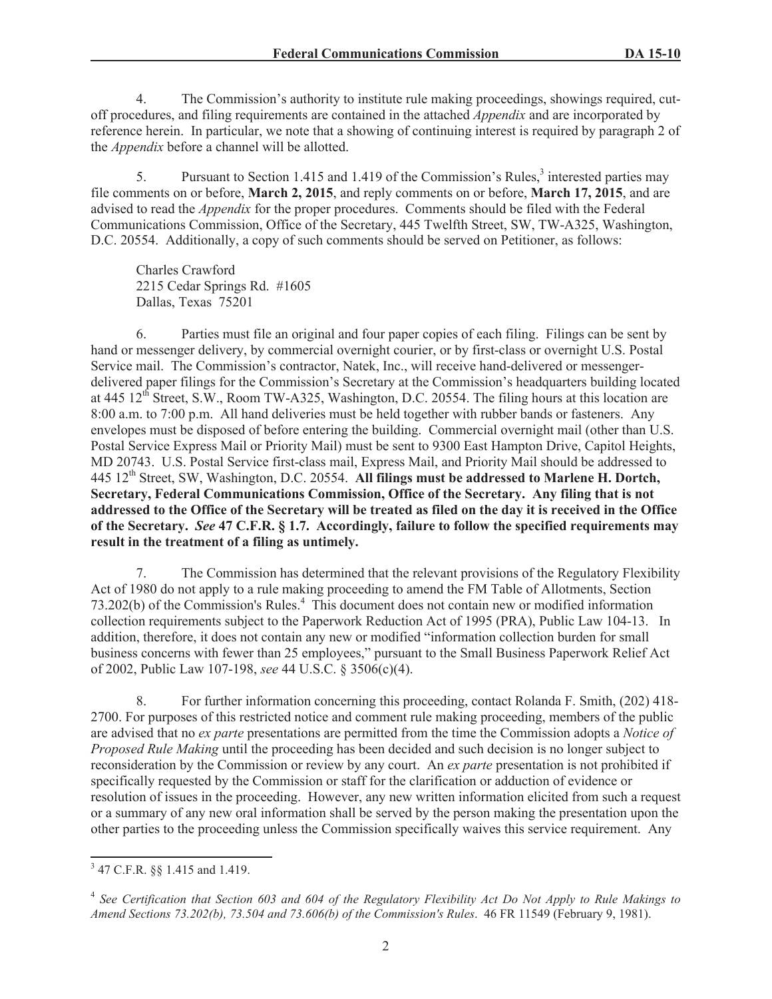4. The Commission's authority to institute rule making proceedings, showings required, cutoff procedures, and filing requirements are contained in the attached *Appendix* and are incorporated by reference herein. In particular, we note that a showing of continuing interest is required by paragraph 2 of the *Appendix* before a channel will be allotted.

5. Pursuant to Section 1.415 and 1.419 of the Commission's Rules,<sup>3</sup> interested parties may file comments on or before, **March 2, 2015**, and reply comments on or before, **March 17, 2015**, and are advised to read the *Appendix* for the proper procedures. Comments should be filed with the Federal Communications Commission, Office of the Secretary, 445 Twelfth Street, SW, TW-A325, Washington, D.C. 20554. Additionally, a copy of such comments should be served on Petitioner, as follows:

Charles Crawford 2215 Cedar Springs Rd. #1605 Dallas, Texas 75201

6. Parties must file an original and four paper copies of each filing. Filings can be sent by hand or messenger delivery, by commercial overnight courier, or by first-class or overnight U.S. Postal Service mail. The Commission's contractor, Natek, Inc., will receive hand-delivered or messengerdelivered paper filings for the Commission's Secretary at the Commission's headquarters building located at 445  $12<sup>th</sup>$  Street, S.W., Room TW-A325, Washington, D.C. 20554. The filing hours at this location are 8:00 a.m. to 7:00 p.m. All hand deliveries must be held together with rubber bands or fasteners. Any envelopes must be disposed of before entering the building. Commercial overnight mail (other than U.S. Postal Service Express Mail or Priority Mail) must be sent to 9300 East Hampton Drive, Capitol Heights, MD 20743. U.S. Postal Service first-class mail, Express Mail, and Priority Mail should be addressed to 445 12<sup>th</sup> Street, SW, Washington, D.C. 20554. All filings must be addressed to Marlene H. Dortch, **Secretary, Federal Communications Commission, Office of the Secretary. Any filing that is not addressed to the Office of the Secretary will be treated as filed on the day it is received in the Office of the Secretary.** *See* **47 C.F.R. § 1.7. Accordingly, failure to follow the specified requirements may result in the treatment of a filing as untimely.** 

7. The Commission has determined that the relevant provisions of the Regulatory Flexibility Act of 1980 do not apply to a rule making proceeding to amend the FM Table of Allotments, Section 73.202(b) of the Commission's Rules.<sup>4</sup> This document does not contain new or modified information collection requirements subject to the Paperwork Reduction Act of 1995 (PRA), Public Law 104-13. In addition, therefore, it does not contain any new or modified "information collection burden for small business concerns with fewer than 25 employees," pursuant to the Small Business Paperwork Relief Act of 2002, Public Law 107-198, *see* 44 U.S.C. § 3506(c)(4).

8. For further information concerning this proceeding, contact Rolanda F. Smith, (202) 418- 2700. For purposes of this restricted notice and comment rule making proceeding, members of the public are advised that no *ex parte* presentations are permitted from the time the Commission adopts a *Notice of Proposed Rule Making* until the proceeding has been decided and such decision is no longer subject to reconsideration by the Commission or review by any court. An *ex parte* presentation is not prohibited if specifically requested by the Commission or staff for the clarification or adduction of evidence or resolution of issues in the proceeding. However, any new written information elicited from such a request or a summary of any new oral information shall be served by the person making the presentation upon the other parties to the proceeding unless the Commission specifically waives this service requirement. Any

<sup>3</sup> 47 C.F.R. §§ 1.415 and 1.419.

<sup>&</sup>lt;sup>4</sup> See Certification that Section 603 and 604 of the Regulatory Flexibility Act Do Not Apply to Rule Makings to *Amend Sections 73.202(b), 73.504 and 73.606(b) of the Commission's Rules*. 46 FR 11549 (February 9, 1981).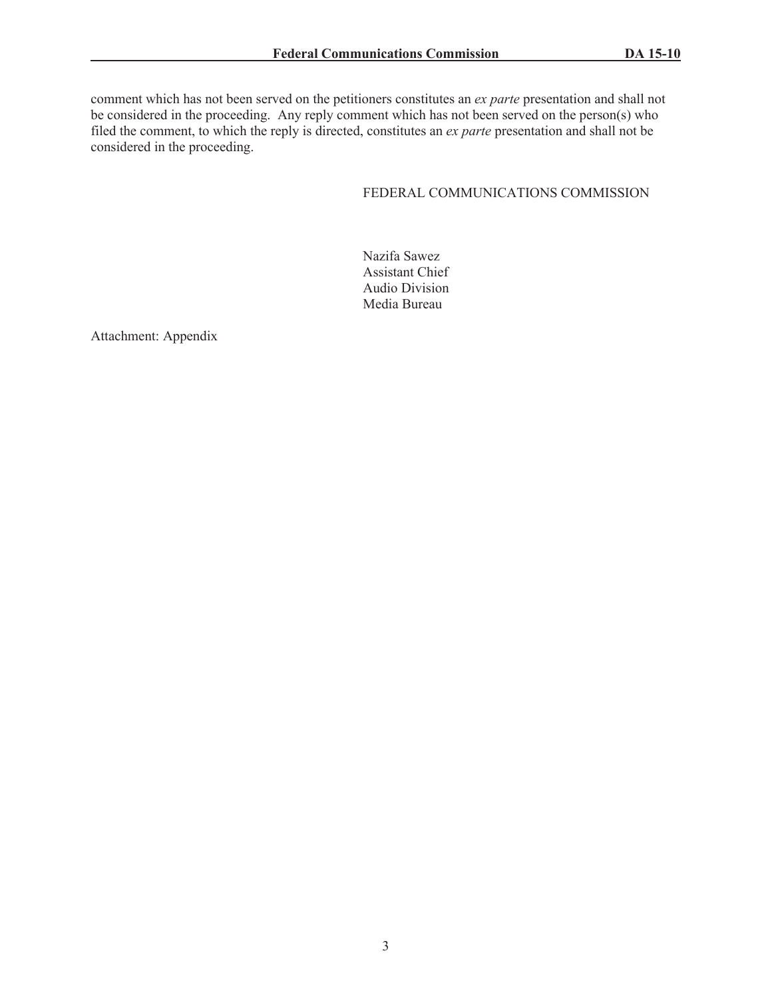comment which has not been served on the petitioners constitutes an *ex parte* presentation and shall not be considered in the proceeding. Any reply comment which has not been served on the person(s) who filed the comment, to which the reply is directed, constitutes an *ex parte* presentation and shall not be considered in the proceeding.

# FEDERAL COMMUNICATIONS COMMISSION

Nazifa Sawez Assistant Chief Audio Division Media Bureau

Attachment: Appendix